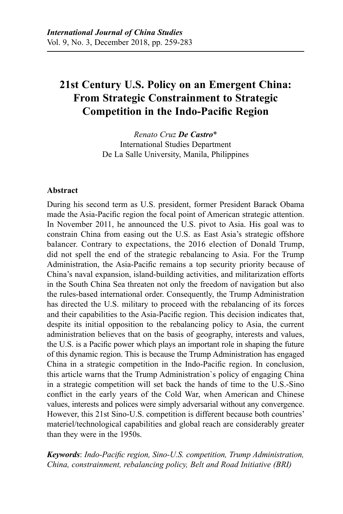# **21st Century U.S. Policy on an Emergent China: From Strategic Constrainment to Strategic Competition in the Indo-Pacific Region**

*Renato Cruz De Castro*\* International Studies Department De La Salle University, Manila, Philippines

## **Abstract**

During his second term as U.S. president, former President Barack Obama made the Asia-Pacific region the focal point of American strategic attention. In November 2011, he announced the U.S. pivot to Asia. His goal was to constrain China from easing out the U.S. as East Asia's strategic offshore balancer. Contrary to expectations, the 2016 election of Donald Trump, did not spell the end of the strategic rebalancing to Asia. For the Trump Administration, the Asia-Pacific remains a top security priority because of China's naval expansion, island-building activities, and militarization efforts in the South China Sea threaten not only the freedom of navigation but also the rules-based international order. Consequently, the Trump Administration has directed the U.S. military to proceed with the rebalancing of its forces and their capabilities to the Asia-Pacific region. This decision indicates that, despite its initial opposition to the rebalancing policy to Asia, the current administration believes that on the basis of geography, interests and values, the U.S. is a Pacific power which plays an important role in shaping the future of this dynamic region. This is because the Trump Administration has engaged China in a strategic competition in the Indo-Pacific region. In conclusion, this article warns that the Trump Administration`s policy of engaging China in a strategic competition will set back the hands of time to the U.S.-Sino conflict in the early years of the Cold War, when American and Chinese values, interests and polices were simply adversarial without any convergence. However, this 21st Sino-U.S. competition is different because both countries' materiel/technological capabilities and global reach are considerably greater than they were in the 1950s.

*Keywords*: *Indo-Pacific region, Sino-U.S. competition, Trump Administration, China, constrainment, rebalancing policy, Belt and Road Initiative (BRI)*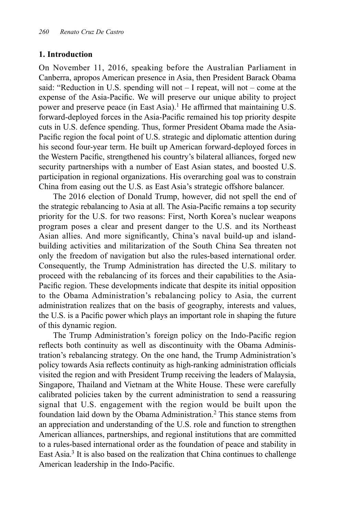#### **1. Introduction**

On November 11, 2016, speaking before the Australian Parliament in Canberra, apropos American presence in Asia, then President Barack Obama said: "Reduction in U.S. spending will not – I repeat, will not – come at the expense of the Asia-Pacific. We will preserve our unique ability to project power and preserve peace (in East Asia).<sup>1</sup> He affirmed that maintaining U.S. forward-deployed forces in the Asia-Pacific remained his top priority despite cuts in U.S. defence spending. Thus, former President Obama made the Asia-Pacific region the focal point of U.S. strategic and diplomatic attention during his second four-year term. He built up American forward-deployed forces in the Western Pacific, strengthened his country's bilateral alliances, forged new security partnerships with a number of East Asian states, and boosted U.S. participation in regional organizations. His overarching goal was to constrain China from easing out the U.S. as East Asia's strategic offshore balancer.

The 2016 election of Donald Trump, however, did not spell the end of the strategic rebalancing to Asia at all. The Asia-Pacific remains a top security priority for the U.S. for two reasons: First, North Korea's nuclear weapons program poses a clear and present danger to the U.S. and its Northeast Asian allies. And more significantly, China's naval build-up and islandbuilding activities and militarization of the South China Sea threaten not only the freedom of navigation but also the rules-based international order. Consequently, the Trump Administration has directed the U.S. military to proceed with the rebalancing of its forces and their capabilities to the Asia-Pacific region. These developments indicate that despite its initial opposition to the Obama Administration's rebalancing policy to Asia, the current administration realizes that on the basis of geography, interests and values, the U.S. is a Pacific power which plays an important role in shaping the future of this dynamic region.

The Trump Administration's foreign policy on the Indo-Pacific region reflects both continuity as well as discontinuity with the Obama Administration's rebalancing strategy. On the one hand, the Trump Administration's policy towards Asia reflects continuity as high-ranking administration officials visited the region and with President Trump receiving the leaders of Malaysia, Singapore, Thailand and Vietnam at the White House. These were carefully calibrated policies taken by the current administration to send a reassuring signal that U.S. engagement with the region would be built upon the foundation laid down by the Obama Administration.2 This stance stems from an appreciation and understanding of the U.S. role and function to strengthen American alliances, partnerships, and regional institutions that are committed to a rules-based international order as the foundation of peace and stability in East Asia.3 It is also based on the realization that China continues to challenge American leadership in the Indo-Pacific.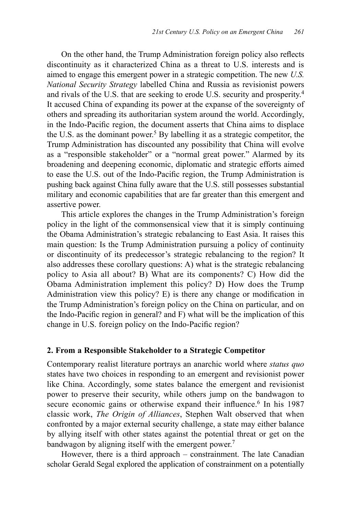On the other hand, the Trump Administration foreign policy also reflects discontinuity as it characterized China as a threat to U.S. interests and is aimed to engage this emergent power in a strategic competition. The new *U.S. National Security Strategy* labelled China and Russia as revisionist powers and rivals of the U.S. that are seeking to erode U.S. security and prosperity.4 It accused China of expanding its power at the expanse of the sovereignty of others and spreading its authoritarian system around the world. Accordingly, in the Indo-Pacific region, the document asserts that China aims to displace the U.S. as the dominant power.5 By labelling it as a strategic competitor, the Trump Administration has discounted any possibility that China will evolve as a "responsible stakeholder" or a "normal great power." Alarmed by its broadening and deepening economic, diplomatic and strategic efforts aimed to ease the U.S. out of the Indo-Pacific region, the Trump Administration is pushing back against China fully aware that the U.S. still possesses substantial military and economic capabilities that are far greater than this emergent and assertive power.

This article explores the changes in the Trump Administration's foreign policy in the light of the commonsensical view that it is simply continuing the Obama Administration's strategic rebalancing to East Asia. It raises this main question: Is the Trump Administration pursuing a policy of continuity or discontinuity of its predecessor's strategic rebalancing to the region? It also addresses these corollary questions: A) what is the strategic rebalancing policy to Asia all about? B) What are its components? C) How did the Obama Administration implement this policy? D) How does the Trump Administration view this policy? E) is there any change or modification in the Trump Administration's foreign policy on the China on particular, and on the Indo-Pacific region in general? and F) what will be the implication of this change in U.S. foreign policy on the Indo-Pacific region?

#### **2. From a Responsible Stakeholder to a Strategic Competitor**

Contemporary realist literature portrays an anarchic world where *status quo*  states have two choices in responding to an emergent and revisionist power like China. Accordingly, some states balance the emergent and revisionist power to preserve their security, while others jump on the bandwagon to secure economic gains or otherwise expand their influence.<sup>6</sup> In his 1987 classic work, *The Origin of Alliances*, Stephen Walt observed that when confronted by a major external security challenge, a state may either balance by allying itself with other states against the potential threat or get on the bandwagon by aligning itself with the emergent power.<sup>7</sup>

However, there is a third approach – constrainment. The late Canadian scholar Gerald Segal explored the application of constrainment on a potentially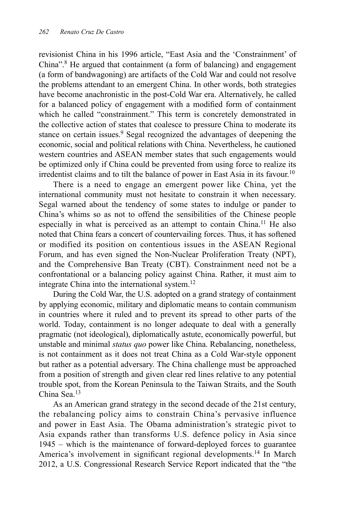revisionist China in his 1996 article, "East Asia and the 'Constrainment' of China".8 He argued that containment (a form of balancing) and engagement (a form of bandwagoning) are artifacts of the Cold War and could not resolve the problems attendant to an emergent China. In other words, both strategies have become anachronistic in the post-Cold War era. Alternatively, he called for a balanced policy of engagement with a modified form of containment which he called "constrainment." This term is concretely demonstrated in the collective action of states that coalesce to pressure China to moderate its stance on certain issues.<sup>9</sup> Segal recognized the advantages of deepening the economic, social and political relations with China. Nevertheless, he cautioned western countries and ASEAN member states that such engagements would be optimized only if China could be prevented from using force to realize its irredentist claims and to tilt the balance of power in East Asia in its favour.10

There is a need to engage an emergent power like China, yet the international community must not hesitate to constrain it when necessary. Segal warned about the tendency of some states to indulge or pander to China's whims so as not to offend the sensibilities of the Chinese people especially in what is perceived as an attempt to contain China.<sup>11</sup> He also noted that China fears a concert of countervailing forces. Thus, it has softened or modified its position on contentious issues in the ASEAN Regional Forum, and has even signed the Non-Nuclear Proliferation Treaty (NPT), and the Comprehensive Ban Treaty (CBT). Constrainment need not be a confrontational or a balancing policy against China. Rather, it must aim to integrate China into the international system.12

During the Cold War, the U.S. adopted on a grand strategy of containment by applying economic, military and diplomatic means to contain communism in countries where it ruled and to prevent its spread to other parts of the world. Today, containment is no longer adequate to deal with a generally pragmatic (not ideological), diplomatically astute, economically powerful, but unstable and minimal *status quo* power like China. Rebalancing, nonetheless, is not containment as it does not treat China as a Cold War-style opponent but rather as a potential adversary. The China challenge must be approached from a position of strength and given clear red lines relative to any potential trouble spot, from the Korean Peninsula to the Taiwan Straits, and the South China Sea<sup>13</sup>

As an American grand strategy in the second decade of the 21st century, the rebalancing policy aims to constrain China's pervasive influence and power in East Asia. The Obama administration's strategic pivot to Asia expands rather than transforms U.S. defence policy in Asia since 1945 – which is the maintenance of forward-deployed forces to guarantee America's involvement in significant regional developments.<sup>14</sup> In March 2012, a U.S. Congressional Research Service Report indicated that the "the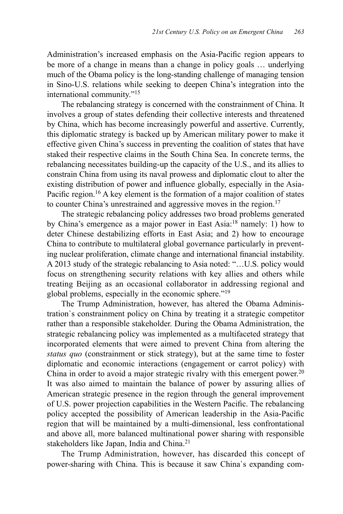Administration's increased emphasis on the Asia-Pacific region appears to be more of a change in means than a change in policy goals … underlying much of the Obama policy is the long-standing challenge of managing tension in Sino-U.S. relations while seeking to deepen China's integration into the international community."15

The rebalancing strategy is concerned with the constrainment of China. It involves a group of states defending their collective interests and threatened by China, which has become increasingly powerful and assertive. Currently, this diplomatic strategy is backed up by American military power to make it effective given China's success in preventing the coalition of states that have staked their respective claims in the South China Sea. In concrete terms, the rebalancing necessitates building-up the capacity of the U.S., and its allies to constrain China from using its naval prowess and diplomatic clout to alter the existing distribution of power and influence globally, especially in the Asia-Pacific region.<sup>16</sup> A key element is the formation of a major coalition of states to counter China's unrestrained and aggressive moves in the region.<sup>17</sup>

The strategic rebalancing policy addresses two broad problems generated by China's emergence as a major power in East Asia:18 namely: 1) how to deter Chinese destabilizing efforts in East Asia; and 2) how to encourage China to contribute to multilateral global governance particularly in preventing nuclear proliferation, climate change and international financial instability. A 2013 study of the strategic rebalancing to Asia noted: "…U.S. policy would focus on strengthening security relations with key allies and others while treating Beijing as an occasional collaborator in addressing regional and global problems, especially in the economic sphere."19

The Trump Administration, however, has altered the Obama Administration`s constrainment policy on China by treating it a strategic competitor rather than a responsible stakeholder. During the Obama Administration, the strategic rebalancing policy was implemented as a multifaceted strategy that incorporated elements that were aimed to prevent China from altering the *status quo* (constrainment or stick strategy), but at the same time to foster diplomatic and economic interactions (engagement or carrot policy) with China in order to avoid a major strategic rivalry with this emergent power.<sup>20</sup> It was also aimed to maintain the balance of power by assuring allies of American strategic presence in the region through the general improvement of U.S. power projection capabilities in the Western Pacific. The rebalancing policy accepted the possibility of American leadership in the Asia-Pacific region that will be maintained by a multi-dimensional, less confrontational and above all, more balanced multinational power sharing with responsible stakeholders like Japan, India and China.<sup>21</sup>

The Trump Administration, however, has discarded this concept of power-sharing with China. This is because it saw China`s expanding com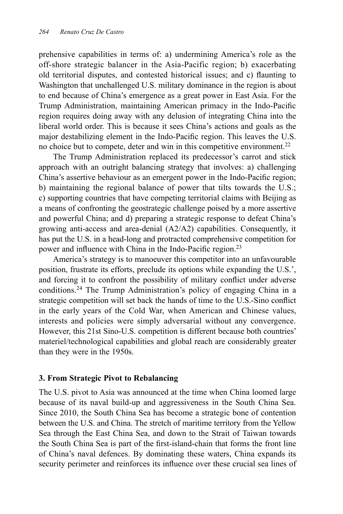prehensive capabilities in terms of: a) undermining America's role as the off-shore strategic balancer in the Asia-Pacific region; b) exacerbating old territorial disputes, and contested historical issues; and c) flaunting to Washington that unchallenged U.S. military dominance in the region is about to end because of China's emergence as a great power in East Asia. For the Trump Administration, maintaining American primacy in the Indo-Pacific region requires doing away with any delusion of integrating China into the liberal world order. This is because it sees China's actions and goals as the major destabilizing element in the Indo-Pacific region. This leaves the U.S. no choice but to compete, deter and win in this competitive environment.<sup>22</sup>

The Trump Administration replaced its predecessor's carrot and stick approach with an outright balancing strategy that involves: a) challenging China's assertive behaviour as an emergent power in the Indo-Pacific region; b) maintaining the regional balance of power that tilts towards the U.S.; c) supporting countries that have competing territorial claims with Beijing as a means of confronting the geostrategic challenge poised by a more assertive and powerful China; and d) preparing a strategic response to defeat China's growing anti-access and area-denial (A2/A2) capabilities. Consequently, it has put the U.S. in a head-long and protracted comprehensive competition for power and influence with China in the Indo-Pacific region.<sup>23</sup>

America's strategy is to manoeuver this competitor into an unfavourable position, frustrate its efforts, preclude its options while expanding the U.S.', and forcing it to confront the possibility of military conflict under adverse conditions.24 The Trump Administration's policy of engaging China in a strategic competition will set back the hands of time to the U.S.-Sino conflict in the early years of the Cold War, when American and Chinese values, interests and policies were simply adversarial without any convergence. However, this 21st Sino-U.S. competition is different because both countries' materiel/technological capabilities and global reach are considerably greater than they were in the 1950s.

#### **3. From Strategic Pivot to Rebalancing**

The U.S. pivot to Asia was announced at the time when China loomed large because of its naval build-up and aggressiveness in the South China Sea. Since 2010, the South China Sea has become a strategic bone of contention between the U.S. and China. The stretch of maritime territory from the Yellow Sea through the East China Sea, and down to the Strait of Taiwan towards the South China Sea is part of the first-island-chain that forms the front line of China's naval defences. By dominating these waters, China expands its security perimeter and reinforces its influence over these crucial sea lines of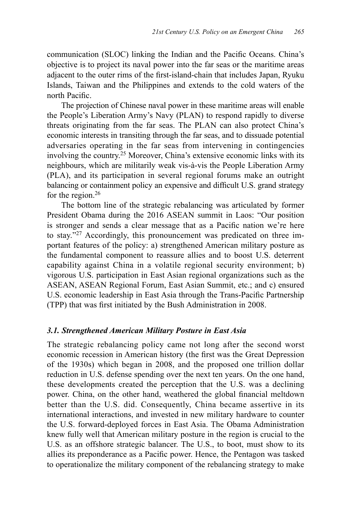communication (SLOC) linking the Indian and the Pacific Oceans. China's objective is to project its naval power into the far seas or the maritime areas adjacent to the outer rims of the first-island-chain that includes Japan, Ryuku Islands, Taiwan and the Philippines and extends to the cold waters of the north Pacific.

The projection of Chinese naval power in these maritime areas will enable the People's Liberation Army's Navy (PLAN) to respond rapidly to diverse threats originating from the far seas. The PLAN can also protect China's economic interests in transiting through the far seas, and to dissuade potential adversaries operating in the far seas from intervening in contingencies involving the country.25 Moreover, China's extensive economic links with its neighbours, which are militarily weak vis-à-vis the People Liberation Army (PLA), and its participation in several regional forums make an outright balancing or containment policy an expensive and difficult U.S. grand strategy for the region.<sup>26</sup>

The bottom line of the strategic rebalancing was articulated by former President Obama during the 2016 ASEAN summit in Laos: "Our position is stronger and sends a clear message that as a Pacific nation we're here to stay."27 Accordingly, this pronouncement was predicated on three important features of the policy: a) strengthened American military posture as the fundamental component to reassure allies and to boost U.S. deterrent capability against China in a volatile regional security environment; b) vigorous U.S. participation in East Asian regional organizations such as the ASEAN, ASEAN Regional Forum, East Asian Summit, etc.; and c) ensured U.S. economic leadership in East Asia through the Trans-Pacific Partnership (TPP) that was first initiated by the Bush Administration in 2008.

#### *3.1. Strengthened American Military Posture in East Asia*

The strategic rebalancing policy came not long after the second worst economic recession in American history (the first was the Great Depression of the 1930s) which began in 2008, and the proposed one trillion dollar reduction in U.S. defense spending over the next ten years. On the one hand, these developments created the perception that the U.S. was a declining power. China, on the other hand, weathered the global financial meltdown better than the U.S. did. Consequently, China became assertive in its international interactions, and invested in new military hardware to counter the U.S. forward-deployed forces in East Asia. The Obama Administration knew fully well that American military posture in the region is crucial to the U.S. as an offshore strategic balancer. The U.S., to boot, must show to its allies its preponderance as a Pacific power. Hence, the Pentagon was tasked to operationalize the military component of the rebalancing strategy to make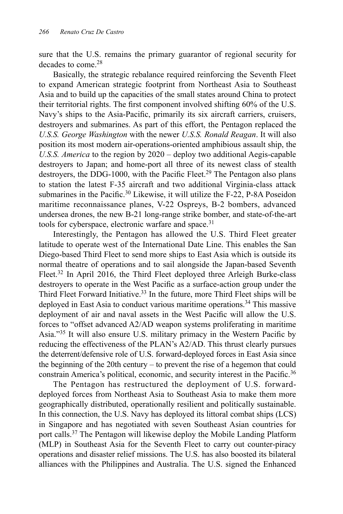sure that the U.S. remains the primary guarantor of regional security for decades to come.28

Basically, the strategic rebalance required reinforcing the Seventh Fleet to expand American strategic footprint from Northeast Asia to Southeast Asia and to build up the capacities of the small states around China to protect their territorial rights. The first component involved shifting 60% of the U.S. Navy's ships to the Asia-Pacific, primarily its six aircraft carriers, cruisers, destroyers and submarines. As part of this effort, the Pentagon replaced the *U.S.S. George Washington* with the newer *U.S.S. Ronald Reagan*. It will also position its most modern air-operations-oriented amphibious assault ship, the *U.S.S. America* to the region by 2020 – deploy two additional Aegis-capable destroyers to Japan; and home-port all three of its newest class of stealth destroyers, the DDG-1000, with the Pacific Fleet.<sup>29</sup> The Pentagon also plans to station the latest F-35 aircraft and two additional Virginia-class attack submarines in the Pacific.<sup>30</sup> Likewise, it will utilize the F-22, P-8A Poseidon maritime reconnaissance planes, V-22 Ospreys, B-2 bombers, advanced undersea drones, the new B-21 long-range strike bomber, and state-of-the-art tools for cyberspace, electronic warfare and space.<sup>31</sup>

Interestingly, the Pentagon has allowed the U.S. Third Fleet greater latitude to operate west of the International Date Line. This enables the San Diego-based Third Fleet to send more ships to East Asia which is outside its normal theatre of operations and to sail alongside the Japan-based Seventh Fleet.<sup>32</sup> In April 2016, the Third Fleet deployed three Arleigh Burke-class destroyers to operate in the West Pacific as a surface-action group under the Third Fleet Forward Initiative.<sup>33</sup> In the future, more Third Fleet ships will be deployed in East Asia to conduct various maritime operations.<sup>34</sup> This massive deployment of air and naval assets in the West Pacific will allow the U.S. forces to "offset advanced A2/AD weapon systems proliferating in maritime Asia."35 It will also ensure U.S. military primacy in the Western Pacific by reducing the effectiveness of the PLAN's A2/AD. This thrust clearly pursues the deterrent/defensive role of U.S. forward-deployed forces in East Asia since the beginning of the 20th century – to prevent the rise of a hegemon that could constrain America's political, economic, and security interest in the Pacific.<sup>36</sup>

The Pentagon has restructured the deployment of U.S. forwarddeployed forces from Northeast Asia to Southeast Asia to make them more geographically distributed, operationally resilient and politically sustainable. In this connection, the U.S. Navy has deployed its littoral combat ships (LCS) in Singapore and has negotiated with seven Southeast Asian countries for port calls.37 The Pentagon will likewise deploy the Mobile Landing Platform (MLP) in Southeast Asia for the Seventh Fleet to carry out counter-piracy operations and disaster relief missions. The U.S. has also boosted its bilateral alliances with the Philippines and Australia. The U.S. signed the Enhanced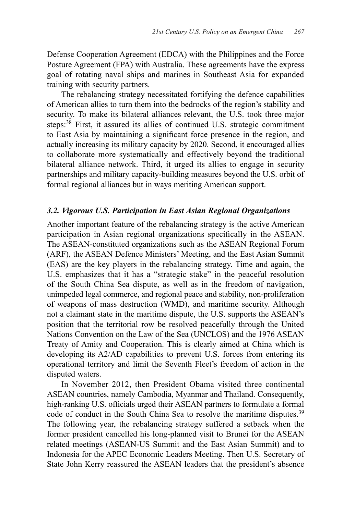Defense Cooperation Agreement (EDCA) with the Philippines and the Force Posture Agreement (FPA) with Australia. These agreements have the express goal of rotating naval ships and marines in Southeast Asia for expanded training with security partners.

The rebalancing strategy necessitated fortifying the defence capabilities of American allies to turn them into the bedrocks of the region's stability and security. To make its bilateral alliances relevant, the U.S. took three major steps:38 First, it assured its allies of continued U.S. strategic commitment to East Asia by maintaining a significant force presence in the region, and actually increasing its military capacity by 2020. Second, it encouraged allies to collaborate more systematically and effectively beyond the traditional bilateral alliance network. Third, it urged its allies to engage in security partnerships and military capacity-building measures beyond the U.S. orbit of formal regional alliances but in ways meriting American support.

## *3.2. Vigorous U.S. Participation in East Asian Regional Organizations*

Another important feature of the rebalancing strategy is the active American participation in Asian regional organizations specifically in the ASEAN. The ASEAN-constituted organizations such as the ASEAN Regional Forum (ARF), the ASEAN Defence Ministers' Meeting, and the East Asian Summit (EAS) are the key players in the rebalancing strategy. Time and again, the U.S. emphasizes that it has a "strategic stake" in the peaceful resolution of the South China Sea dispute, as well as in the freedom of navigation, unimpeded legal commerce, and regional peace and stability, non-proliferation of weapons of mass destruction (WMD), and maritime security. Although not a claimant state in the maritime dispute, the U.S. supports the ASEAN's position that the territorial row be resolved peacefully through the United Nations Convention on the Law of the Sea (UNCLOS) and the 1976 ASEAN Treaty of Amity and Cooperation. This is clearly aimed at China which is developing its A2/AD capabilities to prevent U.S. forces from entering its operational territory and limit the Seventh Fleet's freedom of action in the disputed waters.

In November 2012, then President Obama visited three continental ASEAN countries, namely Cambodia, Myanmar and Thailand. Consequently, high-ranking U.S. officials urged their ASEAN partners to formulate a formal code of conduct in the South China Sea to resolve the maritime disputes.<sup>39</sup> The following year, the rebalancing strategy suffered a setback when the former president cancelled his long-planned visit to Brunei for the ASEAN related meetings (ASEAN-US Summit and the East Asian Summit) and to Indonesia for the APEC Economic Leaders Meeting. Then U.S. Secretary of State John Kerry reassured the ASEAN leaders that the president's absence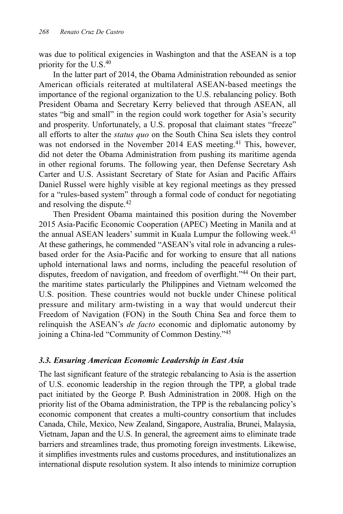was due to political exigencies in Washington and that the ASEAN is a top priority for the U.S. $40$ 

In the latter part of 2014, the Obama Administration rebounded as senior American officials reiterated at multilateral ASEAN-based meetings the importance of the regional organization to the U.S. rebalancing policy. Both President Obama and Secretary Kerry believed that through ASEAN, all states "big and small" in the region could work together for Asia's security and prosperity. Unfortunately, a U.S. proposal that claimant states "freeze" all efforts to alter the *status quo* on the South China Sea islets they control was not endorsed in the November 2014 EAS meeting.<sup>41</sup> This, however, did not deter the Obama Administration from pushing its maritime agenda in other regional forums. The following year, then Defense Secretary Ash Carter and U.S. Assistant Secretary of State for Asian and Pacific Affairs Daniel Russel were highly visible at key regional meetings as they pressed for a "rules-based system" through a formal code of conduct for negotiating and resolving the dispute.42

Then President Obama maintained this position during the November 2015 Asia-Pacific Economic Cooperation (APEC) Meeting in Manila and at the annual ASEAN leaders' summit in Kuala Lumpur the following week.<sup>43</sup> At these gatherings, he commended "ASEAN's vital role in advancing a rulesbased order for the Asia-Pacific and for working to ensure that all nations uphold international laws and norms, including the peaceful resolution of disputes, freedom of navigation, and freedom of overflight."44 On their part, the maritime states particularly the Philippines and Vietnam welcomed the U.S. position. These countries would not buckle under Chinese political pressure and military arm-twisting in a way that would undercut their Freedom of Navigation (FON) in the South China Sea and force them to relinquish the ASEAN's *de facto* economic and diplomatic autonomy by joining a China-led "Community of Common Destiny."<sup>45</sup>

# *3.3. Ensuring American Economic Leadership in East Asia*

The last significant feature of the strategic rebalancing to Asia is the assertion of U.S. economic leadership in the region through the TPP, a global trade pact initiated by the George P. Bush Administration in 2008. High on the priority list of the Obama administration, the TPP is the rebalancing policy's economic component that creates a multi-country consortium that includes Canada, Chile, Mexico, New Zealand, Singapore, Australia, Brunei, Malaysia, Vietnam, Japan and the U.S. In general, the agreement aims to eliminate trade barriers and streamlines trade, thus promoting foreign investments. Likewise, it simplifies investments rules and customs procedures, and institutionalizes an international dispute resolution system. It also intends to minimize corruption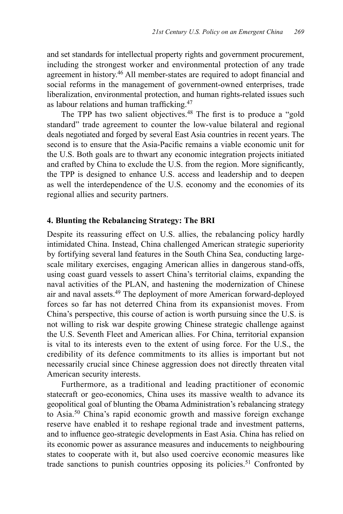and set standards for intellectual property rights and government procurement, including the strongest worker and environmental protection of any trade agreement in history.46 All member-states are required to adopt financial and social reforms in the management of government-owned enterprises, trade liberalization, environmental protection, and human rights-related issues such as labour relations and human trafficking.<sup>47</sup>

The TPP has two salient objectives.<sup>48</sup> The first is to produce a "gold" standard" trade agreement to counter the low-value bilateral and regional deals negotiated and forged by several East Asia countries in recent years. The second is to ensure that the Asia-Pacific remains a viable economic unit for the U.S. Both goals are to thwart any economic integration projects initiated and crafted by China to exclude the U.S. from the region. More significantly, the TPP is designed to enhance U.S. access and leadership and to deepen as well the interdependence of the U.S. economy and the economies of its regional allies and security partners.

#### **4. Blunting the Rebalancing Strategy: The BRI**

Despite its reassuring effect on U.S. allies, the rebalancing policy hardly intimidated China. Instead, China challenged American strategic superiority by fortifying several land features in the South China Sea, conducting largescale military exercises, engaging American allies in dangerous stand-offs, using coast guard vessels to assert China's territorial claims, expanding the naval activities of the PLAN, and hastening the modernization of Chinese air and naval assets.49 The deployment of more American forward-deployed forces so far has not deterred China from its expansionist moves. From China's perspective, this course of action is worth pursuing since the U.S. is not willing to risk war despite growing Chinese strategic challenge against the U.S. Seventh Fleet and American allies. For China, territorial expansion is vital to its interests even to the extent of using force. For the U.S., the credibility of its defence commitments to its allies is important but not necessarily crucial since Chinese aggression does not directly threaten vital American security interests.

Furthermore, as a traditional and leading practitioner of economic statecraft or geo-economics, China uses its massive wealth to advance its geopolitical goal of blunting the Obama Administration's rebalancing strategy to Asia.50 China's rapid economic growth and massive foreign exchange reserve have enabled it to reshape regional trade and investment patterns, and to influence geo-strategic developments in East Asia. China has relied on its economic power as assurance measures and inducements to neighbouring states to cooperate with it, but also used coercive economic measures like trade sanctions to punish countries opposing its policies.<sup>51</sup> Confronted by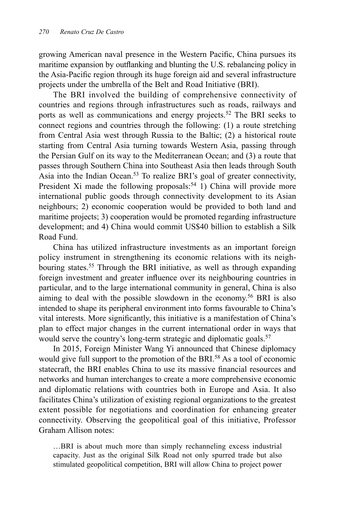growing American naval presence in the Western Pacific, China pursues its maritime expansion by outflanking and blunting the U.S. rebalancing policy in the Asia-Pacific region through its huge foreign aid and several infrastructure projects under the umbrella of the Belt and Road Initiative (BRI).

The BRI involved the building of comprehensive connectivity of countries and regions through infrastructures such as roads, railways and ports as well as communications and energy projects.<sup>52</sup> The BRI seeks to connect regions and countries through the following: (1) a route stretching from Central Asia west through Russia to the Baltic; (2) a historical route starting from Central Asia turning towards Western Asia, passing through the Persian Gulf on its way to the Mediterranean Ocean; and (3) a route that passes through Southern China into Southeast Asia then leads through South Asia into the Indian Ocean.<sup>53</sup> To realize BRI's goal of greater connectivity, President Xi made the following proposals:<sup>54</sup> 1) China will provide more international public goods through connectivity development to its Asian neighbours; 2) economic cooperation would be provided to both land and maritime projects; 3) cooperation would be promoted regarding infrastructure development; and 4) China would commit US\$40 billion to establish a Silk Road Fund.

China has utilized infrastructure investments as an important foreign policy instrument in strengthening its economic relations with its neighbouring states.<sup>55</sup> Through the BRI initiative, as well as through expanding foreign investment and greater influence over its neighbouring countries in particular, and to the large international community in general, China is also aiming to deal with the possible slowdown in the economy.56 BRI is also intended to shape its peripheral environment into forms favourable to China's vital interests. More significantly, this initiative is a manifestation of China's plan to effect major changes in the current international order in ways that would serve the country's long-term strategic and diplomatic goals.<sup>57</sup>

In 2015, Foreign Minister Wang Yi announced that Chinese diplomacy would give full support to the promotion of the BRI.<sup>58</sup> As a tool of economic statecraft, the BRI enables China to use its massive financial resources and networks and human interchanges to create a more comprehensive economic and diplomatic relations with countries both in Europe and Asia. It also facilitates China's utilization of existing regional organizations to the greatest extent possible for negotiations and coordination for enhancing greater connectivity. Observing the geopolitical goal of this initiative, Professor Graham Allison notes:

…BRI is about much more than simply rechanneling excess industrial capacity. Just as the original Silk Road not only spurred trade but also stimulated geopolitical competition, BRI will allow China to project power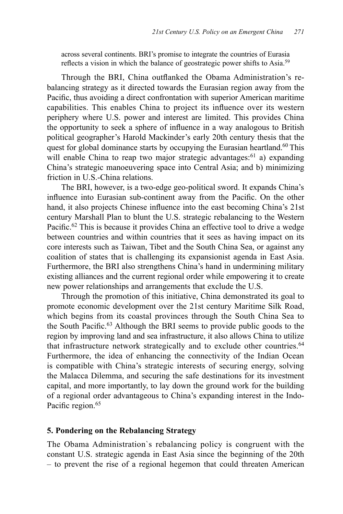across several continents. BRI's promise to integrate the countries of Eurasia reflects a vision in which the balance of geostrategic power shifts to Asia.<sup>59</sup>

Through the BRI, China outflanked the Obama Administration's rebalancing strategy as it directed towards the Eurasian region away from the Pacific, thus avoiding a direct confrontation with superior American maritime capabilities. This enables China to project its influence over its western periphery where U.S. power and interest are limited. This provides China the opportunity to seek a sphere of influence in a way analogous to British political geographer's Harold Mackinder's early 20th century thesis that the quest for global dominance starts by occupying the Eurasian heartland.<sup>60</sup> This will enable China to reap two major strategic advantages: $61$  a) expanding China's strategic manoeuvering space into Central Asia; and b) minimizing friction in U.S.-China relations.

The BRI, however, is a two-edge geo-political sword. It expands China's influence into Eurasian sub-continent away from the Pacific. On the other hand, it also projects Chinese influence into the east becoming China's 21st century Marshall Plan to blunt the U.S. strategic rebalancing to the Western Pacific.<sup>62</sup> This is because it provides China an effective tool to drive a wedge between countries and within countries that it sees as having impact on its core interests such as Taiwan, Tibet and the South China Sea, or against any coalition of states that is challenging its expansionist agenda in East Asia. Furthermore, the BRI also strengthens China's hand in undermining military existing alliances and the current regional order while empowering it to create new power relationships and arrangements that exclude the U.S.

Through the promotion of this initiative, China demonstrated its goal to promote economic development over the 21st century Maritime Silk Road, which begins from its coastal provinces through the South China Sea to the South Pacific.63 Although the BRI seems to provide public goods to the region by improving land and sea infrastructure, it also allows China to utilize that infrastructure network strategically and to exclude other countries.<sup>64</sup> Furthermore, the idea of enhancing the connectivity of the Indian Ocean is compatible with China's strategic interests of securing energy, solving the Malacca Dilemma, and securing the safe destinations for its investment capital, and more importantly, to lay down the ground work for the building of a regional order advantageous to China's expanding interest in the Indo-Pacific region.<sup>65</sup>

#### **5. Pondering on the Rebalancing Strategy**

The Obama Administration`s rebalancing policy is congruent with the constant U.S. strategic agenda in East Asia since the beginning of the 20th – to prevent the rise of a regional hegemon that could threaten American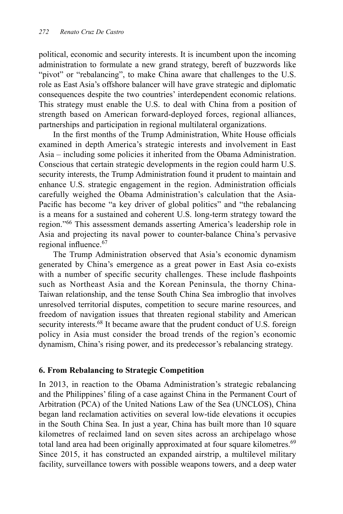political, economic and security interests. It is incumbent upon the incoming administration to formulate a new grand strategy, bereft of buzzwords like "pivot" or "rebalancing", to make China aware that challenges to the U.S. role as East Asia's offshore balancer will have grave strategic and diplomatic consequences despite the two countries' interdependent economic relations. This strategy must enable the U.S. to deal with China from a position of strength based on American forward-deployed forces, regional alliances, partnerships and participation in regional multilateral organizations.

In the first months of the Trump Administration, White House officials examined in depth America's strategic interests and involvement in East Asia – including some policies it inherited from the Obama Administration. Conscious that certain strategic developments in the region could harm U.S. security interests, the Trump Administration found it prudent to maintain and enhance U.S. strategic engagement in the region. Administration officials carefully weighed the Obama Administration's calculation that the Asia-Pacific has become "a key driver of global politics" and "the rebalancing is a means for a sustained and coherent U.S. long-term strategy toward the region."66 This assessment demands asserting America's leadership role in Asia and projecting its naval power to counter-balance China's pervasive regional influence.<sup>67</sup>

The Trump Administration observed that Asia's economic dynamism generated by China's emergence as a great power in East Asia co-exists with a number of specific security challenges. These include flashpoints such as Northeast Asia and the Korean Peninsula, the thorny China-Taiwan relationship, and the tense South China Sea imbroglio that involves unresolved territorial disputes, competition to secure marine resources, and freedom of navigation issues that threaten regional stability and American security interests.<sup>68</sup> It became aware that the prudent conduct of U.S. foreign policy in Asia must consider the broad trends of the region's economic dynamism, China's rising power, and its predecessor's rebalancing strategy.

#### **6. From Rebalancing to Strategic Competition**

In 2013, in reaction to the Obama Administration's strategic rebalancing and the Philippines' filing of a case against China in the Permanent Court of Arbitration (PCA) of the United Nations Law of the Sea (UNCLOS), China began land reclamation activities on several low-tide elevations it occupies in the South China Sea. In just a year, China has built more than 10 square kilometres of reclaimed land on seven sites across an archipelago whose total land area had been originally approximated at four square kilometres.<sup>69</sup> Since 2015, it has constructed an expanded airstrip, a multilevel military facility, surveillance towers with possible weapons towers, and a deep water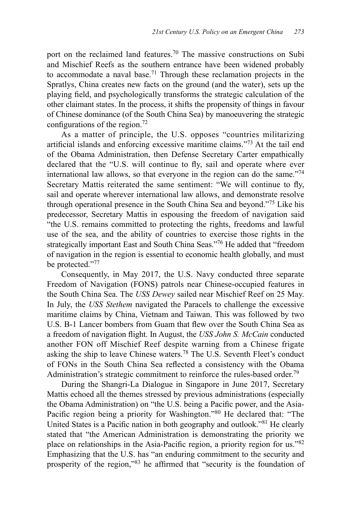port on the reclaimed land features.70 The massive constructions on Subi and Mischief Reefs as the southern entrance have been widened probably to accommodate a naval base.71 Through these reclamation projects in the Spratlys, China creates new facts on the ground (and the water), sets up the playing field, and psychologically transforms the strategic calculation of the other claimant states. In the process, it shifts the propensity of things in favour of Chinese dominance (of the South China Sea) by manoeuvering the strategic configurations of the region.<sup>72</sup>

As a matter of principle, the U.S. opposes "countries militarizing artificial islands and enforcing excessive maritime claims."73 At the tail end of the Obama Administration, then Defense Secretary Carter empathically declared that the "U.S. will continue to fly, sail and operate where ever international law allows, so that everyone in the region can do the same."74 Secretary Mattis reiterated the same sentiment: "We will continue to fly, sail and operate wherever international law allows, and demonstrate resolve through operational presence in the South China Sea and beyond."75 Like his predecessor, Secretary Mattis in espousing the freedom of navigation said "the U.S. remains committed to protecting the rights, freedoms and lawful use of the sea, and the ability of countries to exercise those rights in the strategically important East and South China Seas."76 He added that "freedom of navigation in the region is essential to economic health globally, and must be protected."77

Consequently, in May 2017, the U.S. Navy conducted three separate Freedom of Navigation (FONS) patrols near Chinese-occupied features in the South China Sea. The *USS Dewey* sailed near Mischief Reef on 25 May. In July, the *USS Stethem* navigated the Paracels to challenge the excessive maritime claims by China, Vietnam and Taiwan. This was followed by two U.S. B-1 Lancer bombers from Guam that flew over the South China Sea as a freedom of navigation flight. In August, the *USS John S. McCain* conducted another FON off Mischief Reef despite warning from a Chinese frigate asking the ship to leave Chinese waters.78 The U.S. Seventh Fleet's conduct of FONs in the South China Sea reflected a consistency with the Obama Administration's strategic commitment to reinforce the rules-based order.<sup>79</sup>

During the Shangri-La Dialogue in Singapore in June 2017, Secretary Mattis echoed all the themes stressed by previous administrations (especially the Obama Administration) on "the U.S. being a Pacific power, and the Asia-Pacific region being a priority for Washington."80 He declared that: "The United States is a Pacific nation in both geography and outlook."81 He clearly stated that "the American Administration is demonstrating the priority we place on relationships in the Asia-Pacific region, a priority region for us."<sup>82</sup> Emphasizing that the U.S. has "an enduring commitment to the security and prosperity of the region,"83 he affirmed that "security is the foundation of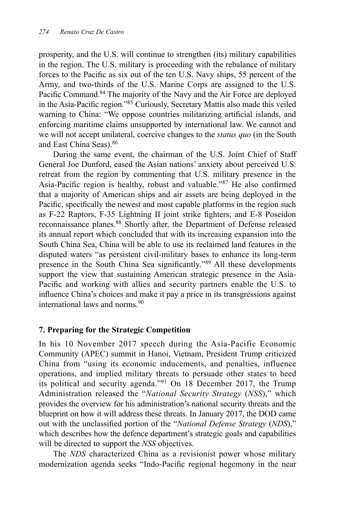prosperity, and the U.S. will continue to strengthen (its) military capabilities in the region. The U.S. military is proceeding with the rebalance of military forces to the Pacific as six out of the ten U.S. Navy ships, 55 percent of the Army, and two-thirds of the U.S. Marine Corps are assigned to the U.S. Pacific Command.<sup>84</sup> The majority of the Navy and the Air Force are deployed in the Asia-Pacific region."85 Curiously, Secretary Mattis also made this veiled warning to China: "We oppose countries militarizing artificial islands, and enforcing maritime claims unsupported by international law. We cannot and we will not accept unilateral, coercive changes to the *status quo* (in the South and East China Seas).86

During the same event, the chairman of the U.S. Joint Chief of Staff General Joe Dunford, eased the Asian nations' anxiety about perceived U.S. retreat from the region by commenting that U.S. military presence in the Asia-Pacific region is healthy, robust and valuable."<sup>87</sup> He also confirmed that a majority of American ships and air assets are being deployed in the Pacific, specifically the newest and most capable platforms in the region such as F-22 Raptors, F-35 Lightning II joint strike fighters, and E-8 Poseidon reconnaissance planes.<sup>88</sup> Shortly after, the Department of Defense released its annual report which concluded that with its increasing expansion into the South China Sea, China will be able to use its reclaimed land features in the disputed waters "as persistent civil-military bases to enhance its long-term presence in the South China Sea significantly."89 All these developments support the view that sustaining American strategic presence in the Asia-Pacific and working with allies and security partners enable the U.S. to influence China's choices and make it pay a price in its transgressions against international laws and norms.90

# **7. Preparing for the Strategic Competition**

In his 10 November 2017 speech during the Asia-Pacific Economic Community (APEC) summit in Hanoi, Vietnam, President Trump criticized China from "using its economic inducements, and penalties, influence operations, and implied military threats to persuade other states to heed its political and security agenda."91 On 18 December 2017, the Trump Administration released the "*National Security Strategy* (*NSS*)," which provides the overview for his administration's national security threats and the blueprint on how it will address these threats. In January 2017, the DOD came out with the unclassified portion of the "*National Defense Strategy* (*NDS*)," which describes how the defence department's strategic goals and capabilities will be directed to support the *NSS* objectives.

The *NDS* characterized China as a revisionist power whose military modernization agenda seeks "Indo-Pacific regional hegemony in the near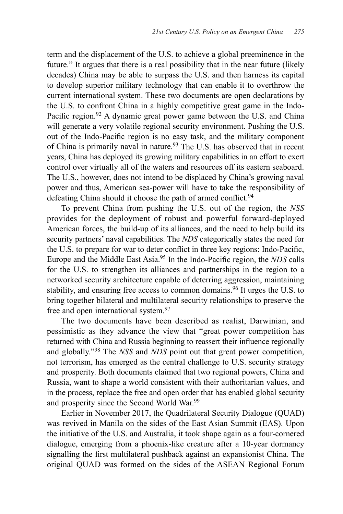term and the displacement of the U.S. to achieve a global preeminence in the future." It argues that there is a real possibility that in the near future (likely decades) China may be able to surpass the U.S. and then harness its capital to develop superior military technology that can enable it to overthrow the current international system. These two documents are open declarations by the U.S. to confront China in a highly competitive great game in the Indo-Pacific region.<sup>92</sup> A dynamic great power game between the U.S. and China will generate a very volatile regional security environment. Pushing the U.S. out of the Indo-Pacific region is no easy task, and the military component of China is primarily naval in nature.<sup>93</sup> The U.S. has observed that in recent years, China has deployed its growing military capabilities in an effort to exert control over virtually all of the waters and resources off its eastern seaboard. The U.S., however, does not intend to be displaced by China's growing naval power and thus, American sea-power will have to take the responsibility of defeating China should it choose the path of armed conflict.<sup>94</sup>

To prevent China from pushing the U.S. out of the region, the *NSS* provides for the deployment of robust and powerful forward-deployed American forces, the build-up of its alliances, and the need to help build its security partners' naval capabilities. The *NDS* categorically states the need for the U.S. to prepare for war to deter conflict in three key regions: Indo-Pacific, Europe and the Middle East Asia.95 In the Indo-Pacific region, the *NDS* calls for the U.S. to strengthen its alliances and partnerships in the region to a networked security architecture capable of deterring aggression, maintaining stability, and ensuring free access to common domains.<sup>96</sup> It urges the U.S. to bring together bilateral and multilateral security relationships to preserve the free and open international system.<sup>97</sup>

The two documents have been described as realist, Darwinian, and pessimistic as they advance the view that "great power competition has returned with China and Russia beginning to reassert their influence regionally and globally."98 The *NSS* and *NDS* point out that great power competition, not terrorism, has emerged as the central challenge to U.S. security strategy and prosperity. Both documents claimed that two regional powers, China and Russia, want to shape a world consistent with their authoritarian values, and in the process, replace the free and open order that has enabled global security and prosperity since the Second World War.<sup>99</sup>

Earlier in November 2017, the Quadrilateral Security Dialogue (QUAD) was revived in Manila on the sides of the East Asian Summit (EAS). Upon the initiative of the U.S. and Australia, it took shape again as a four-cornered dialogue, emerging from a phoenix-like creature after a 10-year dormancy signalling the first multilateral pushback against an expansionist China. The original QUAD was formed on the sides of the ASEAN Regional Forum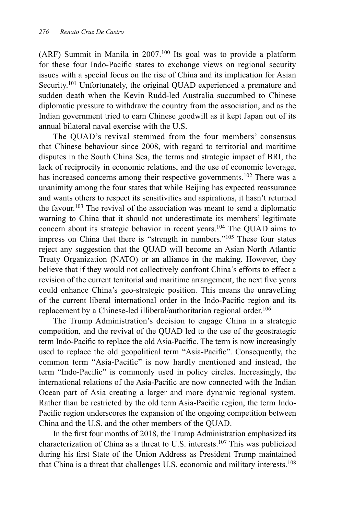(ARF) Summit in Manila in 2007.100 Its goal was to provide a platform for these four Indo-Pacific states to exchange views on regional security issues with a special focus on the rise of China and its implication for Asian Security.<sup>101</sup> Unfortunately, the original QUAD experienced a premature and sudden death when the Kevin Rudd-led Australia succumbed to Chinese diplomatic pressure to withdraw the country from the association, and as the Indian government tried to earn Chinese goodwill as it kept Japan out of its annual bilateral naval exercise with the U.S.

The QUAD's revival stemmed from the four members' consensus that Chinese behaviour since 2008, with regard to territorial and maritime disputes in the South China Sea, the terms and strategic impact of BRI, the lack of reciprocity in economic relations, and the use of economic leverage, has increased concerns among their respective governments.<sup>102</sup> There was a unanimity among the four states that while Beijing has expected reassurance and wants others to respect its sensitivities and aspirations, it hasn't returned the favour.<sup>103</sup> The revival of the association was meant to send a diplomatic warning to China that it should not underestimate its members' legitimate concern about its strategic behavior in recent years.104 The QUAD aims to impress on China that there is "strength in numbers."105 These four states reject any suggestion that the QUAD will become an Asian North Atlantic Treaty Organization (NATO) or an alliance in the making. However, they believe that if they would not collectively confront China's efforts to effect a revision of the current territorial and maritime arrangement, the next five years could enhance China's geo-strategic position. This means the unravelling of the current liberal international order in the Indo-Pacific region and its replacement by a Chinese-led illiberal/authoritarian regional order.<sup>106</sup>

The Trump Administration's decision to engage China in a strategic competition, and the revival of the QUAD led to the use of the geostrategic term Indo-Pacific to replace the old Asia-Pacific. The term is now increasingly used to replace the old geopolitical term "Asia-Pacific". Consequently, the common term "Asia-Pacific" is now hardly mentioned and instead, the term "Indo-Pacific" is commonly used in policy circles. Increasingly, the international relations of the Asia-Pacific are now connected with the Indian Ocean part of Asia creating a larger and more dynamic regional system. Rather than be restricted by the old term Asia-Pacific region, the term Indo-Pacific region underscores the expansion of the ongoing competition between China and the U.S. and the other members of the QUAD.

In the first four months of 2018, the Trump Administration emphasized its characterization of China as a threat to U.S. interests.107 This was publicized during his first State of the Union Address as President Trump maintained that China is a threat that challenges U.S. economic and military interests.108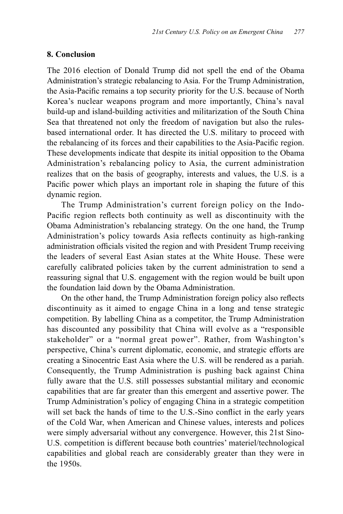#### **8. Conclusion**

The 2016 election of Donald Trump did not spell the end of the Obama Administration's strategic rebalancing to Asia. For the Trump Administration, the Asia-Pacific remains a top security priority for the U.S. because of North Korea's nuclear weapons program and more importantly, China's naval build-up and island-building activities and militarization of the South China Sea that threatened not only the freedom of navigation but also the rulesbased international order. It has directed the U.S. military to proceed with the rebalancing of its forces and their capabilities to the Asia-Pacific region. These developments indicate that despite its initial opposition to the Obama Administration's rebalancing policy to Asia, the current administration realizes that on the basis of geography, interests and values, the U.S. is a Pacific power which plays an important role in shaping the future of this dynamic region.

The Trump Administration's current foreign policy on the Indo-Pacific region reflects both continuity as well as discontinuity with the Obama Administration's rebalancing strategy. On the one hand, the Trump Administration's policy towards Asia reflects continuity as high-ranking administration officials visited the region and with President Trump receiving the leaders of several East Asian states at the White House. These were carefully calibrated policies taken by the current administration to send a reassuring signal that U.S. engagement with the region would be built upon the foundation laid down by the Obama Administration.

On the other hand, the Trump Administration foreign policy also reflects discontinuity as it aimed to engage China in a long and tense strategic competition. By labelling China as a competitor, the Trump Administration has discounted any possibility that China will evolve as a "responsible stakeholder" or a "normal great power". Rather, from Washington's perspective, China's current diplomatic, economic, and strategic efforts are creating a Sinocentric East Asia where the U.S. will be rendered as a pariah. Consequently, the Trump Administration is pushing back against China fully aware that the U.S. still possesses substantial military and economic capabilities that are far greater than this emergent and assertive power. The Trump Administration's policy of engaging China in a strategic competition will set back the hands of time to the U.S.-Sino conflict in the early years of the Cold War, when American and Chinese values, interests and polices were simply adversarial without any convergence. However, this 21st Sino-U.S. competition is different because both countries' materiel/technological capabilities and global reach are considerably greater than they were in the 1950s.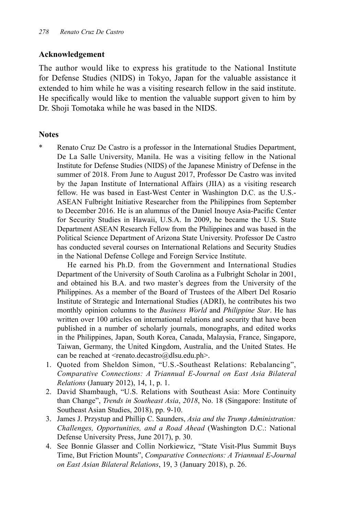#### **Acknowledgement**

The author would like to express his gratitude to the National Institute for Defense Studies (NIDS) in Tokyo, Japan for the valuable assistance it extended to him while he was a visiting research fellow in the said institute. He specifically would like to mention the valuable support given to him by Dr. Shoji Tomotaka while he was based in the NIDS.

## **Notes**

Renato Cruz De Castro is a professor in the International Studies Department, De La Salle University, Manila. He was a visiting fellow in the National Institute for Defense Studies (NIDS) of the Japanese Ministry of Defense in the summer of 2018. From June to August 2017, Professor De Castro was invited by the Japan Institute of International Affairs (JIIA) as a visiting research fellow. He was based in East-West Center in Washington D.C. as the U.S.- ASEAN Fulbright Initiative Researcher from the Philippines from September to December 2016. He is an alumnus of the Daniel Inouye Asia-Pacific Center for Security Studies in Hawaii, U.S.A. In 2009, he became the U.S. State Department ASEAN Research Fellow from the Philippines and was based in the Political Science Department of Arizona State University. Professor De Castro has conducted several courses on International Relations and Security Studies in the National Defense College and Foreign Service Institute.

 He earned his Ph.D. from the Government and International Studies Department of the University of South Carolina as a Fulbright Scholar in 2001, and obtained his B.A. and two master's degrees from the University of the Philippines. As a member of the Board of Trustees of the Albert Del Rosario Institute of Strategic and International Studies (ADRI), he contributes his two monthly opinion columns to the *Business World* and *Philippine Star*. He has written over 100 articles on international relations and security that have been published in a number of scholarly journals, monographs, and edited works in the Philippines, Japan, South Korea, Canada, Malaysia, France, Singapore, Taiwan, Germany, the United Kingdom, Australia, and the United States. He can be reached at <renato.decastro@dlsu.edu.ph>.

- 1. Quoted from Sheldon Simon, "U.S.-Southeast Relations: Rebalancing", *Comparative Connections: A Triannual E-Journal on East Asia Bilateral Relations* (January 2012), 14, 1, p. 1.
- 2. David Shambaugh, "U.S. Relations with Southeast Asia: More Continuity than Change", *Trends in Southeast Asia*, *2018*, No. 18 (Singapore: Institute of Southeast Asian Studies, 2018), pp. 9-10.
- 3. James J. Przystup and Phillip C. Saunders, *Asia and the Trump Administration: Challenges, Opportunities, and a Road Ahead* (Washington D.C.: National Defense University Press, June 2017), p. 30.
- 4. See Bonnie Glasser and Collin Norkiewicz, "State Visit-Plus Summit Buys Time, But Friction Mounts", *Comparative Connections: A Triannual E-Journal on East Asian Bilateral Relations*, 19, 3 (January 2018), p. 26.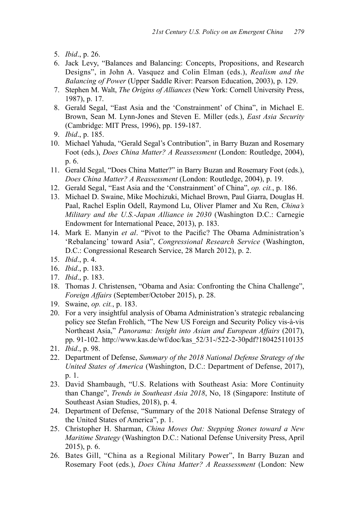- 5. *Ibid*., p. 26.
- 6. Jack Levy, "Balances and Balancing: Concepts, Propositions, and Research Designs", in John A. Vasquez and Colin Elman (eds.), *Realism and the Balancing of Power* (Upper Saddle River: Pearson Education, 2003), p. 129.
- 7. Stephen M. Walt, *The Origins of Alliances* (New York: Cornell University Press, 1987), p. 17.
- 8. Gerald Segal, "East Asia and the 'Constrainment' of China", in Michael E. Brown, Sean M. Lynn-Jones and Steven E. Miller (eds.), *East Asia Security*  (Cambridge: MIT Press, 1996), pp. 159-187.
- 9. *Ibid*., p. 185.
- 10. Michael Yahuda, "Gerald Segal's Contribution", in Barry Buzan and Rosemary Foot (eds.), *Does China Matter? A Reassessment* (London: Routledge, 2004), p. 6.
- 11. Gerald Segal, "Does China Matter?" in Barry Buzan and Rosemary Foot (eds.), *Does China Matter? A Reassessment* (London: Routledge, 2004), p. 19.
- 12. Gerald Segal, "East Asia and the 'Constrainment' of China", *op. cit.*, p. 186.
- 13. Michael D. Swaine, Mike Mochizuki, Michael Brown, Paul Giarra, Douglas H. Paal, Rachel Esplin Odell, Raymond Lu, Oliver Plamer and Xu Ren, *China's Military and the U.S.-Japan Alliance in 2030* (Washington D.C.: Carnegie Endowment for International Peace, 2013), p. 183.
- 14. Mark E. Manyin *et al*. "Pivot to the Pacific? The Obama Administration's 'Rebalancing' toward Asia", *Congressional Research Service* (Washington, D.C.: Congressional Research Service, 28 March 2012), p. 2.
- 15. *Ibid*., p. 4.
- 16. *Ibid*., p. 183.
- 17. *Ibid*., p. 183.
- 18. Thomas J. Christensen, "Obama and Asia: Confronting the China Challenge", *Foreign Affairs* (September/October 2015), p. 28.
- 19. Swaine, *op. cit.*, p. 183.
- 20. For a very insightful analysis of Obama Administration's strategic rebalancing policy see Stefan Frohlich, "The New US Foreign and Security Policy vis-à-vis Northeast Asia," *Panorama: Insight into Asian and European Affairs* (2017), pp. 91-102. http://www.kas.de/wf/doc/kas\_52/31-/522-2-30pdf?180425110135
- 21. *Ibid*., p. 98.
- 22. Department of Defense, *Summary of the 2018 National Defense Strategy of the United States of America* (Washington, D.C.: Department of Defense, 2017), p. 1.
- 23. David Shambaugh, "U.S. Relations with Southeast Asia: More Continuity than Change", *Trends in Southeast Asia 2018*, No, 18 (Singapore: Institute of Southeast Asian Studies, 2018), p. 4.
- 24. Department of Defense, "Summary of the 2018 National Defense Strategy of the United States of America", p. 1.
- 25. Christopher H. Sharman, *China Moves Out: Stepping Stones toward a New Maritime Strategy* (Washington D.C.: National Defense University Press, April 2015), p. 6.
- 26. Bates Gill, "China as a Regional Military Power", In Barry Buzan and Rosemary Foot (eds.), *Does China Matter? A Reassessment* (London: New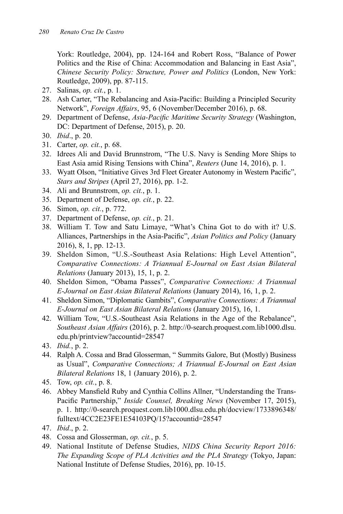York: Routledge, 2004), pp. 124-164 and Robert Ross, "Balance of Power Politics and the Rise of China: Accommodation and Balancing in East Asia", *Chinese Security Policy: Structure, Power and Politics* (London, New York: Routledge, 2009), pp. 87-115.

- 27. Salinas, *op. cit.*, p. 1.
- 28. Ash Carter, "The Rebalancing and Asia-Pacific: Building a Principled Security Network", *Foreign Affairs*, 95, 6 (November/December 2016), p. 68.
- 29. Department of Defense, *Asia-Pacific Maritime Security Strategy* (Washington, DC: Department of Defense, 2015), p. 20.
- 30. *Ibid*., p. 20.
- 31. Carter, *op. cit.*, p. 68.
- 32. Idrees Ali and David Brunnstrom, "The U.S. Navy is Sending More Ships to East Asia amid Rising Tensions with China", *Reuters* (June 14, 2016), p. 1.
- 33. Wyatt Olson, "Initiative Gives 3rd Fleet Greater Autonomy in Western Pacific", *Stars and Stripes* (April 27, 2016), pp. 1-2.
- 34. Ali and Brunnstrom, *op. cit.*, p. 1.
- 35. Department of Defense, *op. cit.*, p. 22.
- 36. Simon, *op. cit.*, p. 772.
- 37. Department of Defense, *op. cit.*, p. 21.
- 38. William T. Tow and Satu Limaye, "What's China Got to do with it? U.S. Alliances, Partnerships in the Asia-Pacific", *Asian Politics and Policy* (January 2016), 8, 1, pp. 12-13.
- 39. Sheldon Simon, "U.S.-Southeast Asia Relations: High Level Attention", *Comparative Connections: A Triannual E-Journal on East Asian Bilateral Relations* (January 2013), 15, 1, p. 2.
- 40. Sheldon Simon, "Obama Passes", *Comparative Connections: A Triannual E-Journal on East Asian Bilateral Relations* (January 2014), 16, 1, p. 2.
- 41. Sheldon Simon, "Diplomatic Gambits", *Comparative Connections: A Triannual E-Journal on East Asian Bilateral Relations* (January 2015), 16, 1.
- 42. William Tow, "U.S.-Southeast Asia Relations in the Age of the Rebalance", *Southeast Asian Affairs* (2016), p. 2. http://0-search.proquest.com.lib1000.dlsu. edu.ph/printview?accountid=28547
- 43. *Ibid.*, p. 2.
- 44. Ralph A. Cossa and Brad Glosserman, " Summits Galore, But (Mostly) Business as Usual", *Comparative Connections; A Triannual E-Journal on East Asian Bilateral Relations* 18, 1 (January 2016), p. 2.
- 45. Tow, *op. cit.*, p. 8.
- 46. Abbey Mansfield Ruby and Cynthia Collins Allner, "Understanding the Trans-Pacific Partnership," *Inside Counsel, Breaking News* (November 17, 2015), p. 1. http://0-search.proquest.com.lib1000.dlsu.edu.ph/docview/1733896348/ fulltext/4CC2E23FE1E54103PQ/15?accountid=28547
- 47. *Ibid*., p. 2.
- 48. Cossa and Glosserman, *op. cit.*, p. 5.
- 49. National Institute of Defense Studies, *NIDS China Security Report 2016: The Expanding Scope of PLA Activities and the PLA Strategy* (Tokyo, Japan: National Institute of Defense Studies, 2016), pp. 10-15.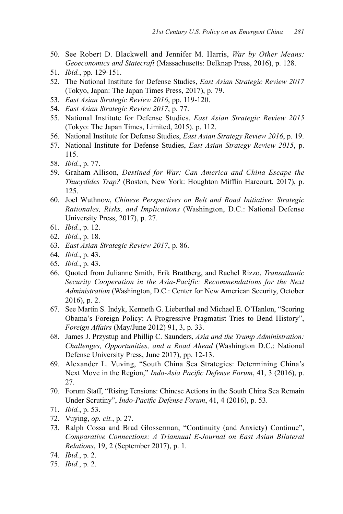- 50. See Robert D. Blackwell and Jennifer M. Harris, *War by Other Means: Geoeconomics and Statecraft* (Massachusetts: Belknap Press, 2016), p. 128.
- 51. *Ibid.*, pp. 129-151.
- 52. The National Institute for Defense Studies, *East Asian Strategic Review 2017*  (Tokyo, Japan: The Japan Times Press, 2017), p. 79.
- 53. *East Asian Strategic Review 2016*, pp. 119-120.
- 54. *East Asian Strategic Review 2017*, p. 77.
- 55. National Institute for Defense Studies, *East Asian Strategic Review 2015*  (Tokyo: The Japan Times, Limited, 2015). p. 112.
- 56. National Institute for Defense Studies, *East Asian Strategy Review 2016*, p. 19.
- 57. National Institute for Defense Studies, *East Asian Strategy Review 2015*, p. 115.
- 58. *Ibid.*, p. 77.
- 59. Graham Allison, *Destined for War: Can America and China Escape the Thucydides Trap?* (Boston, New York: Houghton Mifflin Harcourt, 2017), p. 125.
- 60. Joel Wuthnow, *Chinese Perspectives on Belt and Road Initiative: Strategic Rationales, Risks, and Implications* (Washington, D.C.: National Defense University Press, 2017), p. 27.
- 61. *Ibid.*, p. 12.
- 62. *Ibid.*, p. 18.
- 63. *East Asian Strategic Review 2017*, p. 86.
- 64. *Ibid.*, p. 43.
- 65. *Ibid.*, p. 43.
- 66. Quoted from Julianne Smith, Erik Brattberg, and Rachel Rizzo, *Transatlantic Security Cooperation in the Asia-Pacific: Recommendations for the Next Administration* (Washington, D.C.: Center for New American Security, October 2016), p. 2.
- 67. See Martin S. Indyk, Kenneth G. Lieberthal and Michael E. O'Hanlon, "Scoring Obama's Foreign Policy: A Progressive Pragmatist Tries to Bend History", *Foreign Affairs* (May/June 2012) 91, 3, p. 33.
- 68. James J. Przystup and Phillip C. Saunders, *Asia and the Trump Administration: Challenges, Opportunities, and a Road Ahead* (Washington D.C.: National Defense University Press, June 2017), pp. 12-13.
- 69. Alexander L. Vuving, "South China Sea Strategies: Determining China's Next Move in the Region," *Indo-Asia Pacific Defense Forum*, 41, 3 (2016), p. 27.
- 70. Forum Staff, "Rising Tensions: Chinese Actions in the South China Sea Remain Under Scrutiny", *Indo-Pacific Defense Forum*, 41, 4 (2016), p. 53.
- 71. *Ibid.*, p. 53.
- 72. Vuying, *op. cit.*, p. 27.
- 73. Ralph Cossa and Brad Glosserman, "Continuity (and Anxiety) Continue", *Comparative Connections: A Triannual E-Journal on East Asian Bilateral Relations*, 19, 2 (September 2017), p. 1.
- 74. *Ibid.*, p. 2.
- 75. *Ibid.*, p. 2.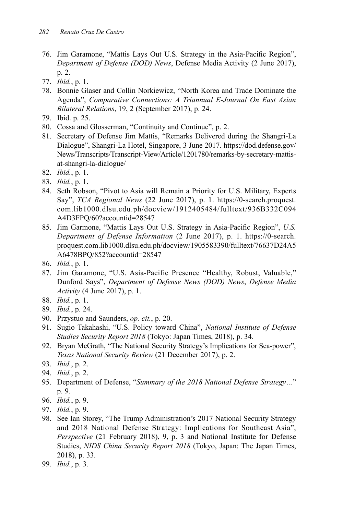- 76. Jim Garamone, "Mattis Lays Out U.S. Strategy in the Asia-Pacific Region", *Department of Defense (DOD) News*, Defense Media Activity (2 June 2017), p. 2.
- 77. *Ibid.*, p. 1.
- 78. Bonnie Glaser and Collin Norkiewicz, "North Korea and Trade Dominate the Agenda", *Comparative Connections: A Triannual E-Journal On East Asian Bilateral Relations*, 19, 2 (September 2017), p. 24.
- 79. Ibid. p. 25.
- 80. Cossa and Glosserman, "Continuity and Continue", p. 2.
- 81. Secretary of Defense Jim Mattis, "Remarks Delivered during the Shangri-La Dialogue", Shangri-La Hotel, Singapore, 3 June 2017. https://dod.defense.gov/ News/Transcripts/Transcript-View/Article/1201780/remarks-by-secretary-mattisat-shangri-la-dialogue/
- 82. *Ibid.*, p. 1.
- 83. *Ibid.*, p. 1.
- 84. Seth Robson, "Pivot to Asia will Remain a Priority for U.S. Military, Experts Say", *TCA Regional News* (22 June 2017), p. 1. https://0-search.proquest. com.lib1000.dlsu.edu.ph/docview/1912405484/fulltext/936B332C094 A4D3FPQ/60?accountid=28547
- 85. Jim Garmone, "Mattis Lays Out U.S. Strategy in Asia-Pacific Region", *U.S. Department of Defense Information* (2 June 2017), p. 1. https://0-search. proquest.com.lib1000.dlsu.edu.ph/docview/1905583390/fulltext/76637D24A5 A6478BPQ/852?accountid=28547
- 86. *Ibid.*, p. 1.
- 87. Jim Garamone, "U.S. Asia-Pacific Presence "Healthy, Robust, Valuable," Dunford Says", *Department of Defense News (DOD) News*, *Defense Media Activity* (4 June 2017), p. 1.
- 88. *Ibid.*, p. 1.
- 89. *Ibid.*, p. 24.
- 90. Przystuo and Saunders, *op. cit.*, p. 20.
- 91. Sugio Takahashi, "U.S. Policy toward China", *National Institute of Defense Studies Security Report 2018* (Tokyo: Japan Times, 2018), p. 34.
- 92. Bryan McGrath, "The National Security Strategy's Implications for Sea-power", *Texas National Security Review* (21 December 2017), p. 2.
- 93. *Ibid.*, p. 2.
- 94. *Ibid.*, p. 2.
- 95. Department of Defense, "*Summary of the 2018 National Defense Strategy…*" p. 9.
- 96. *Ibid.*, p. 9.
- 97. *Ibid.*, p. 9.
- 98. See Ian Storey, "The Trump Administration's 2017 National Security Strategy and 2018 National Defense Strategy: Implications for Southeast Asia", *Perspective* (21 February 2018), 9, p. 3 and National Institute for Defense Studies, *NIDS China Security Report 2018* (Tokyo, Japan: The Japan Times, 2018), p. 33.
- 99. *Ibid.*, p. 3.